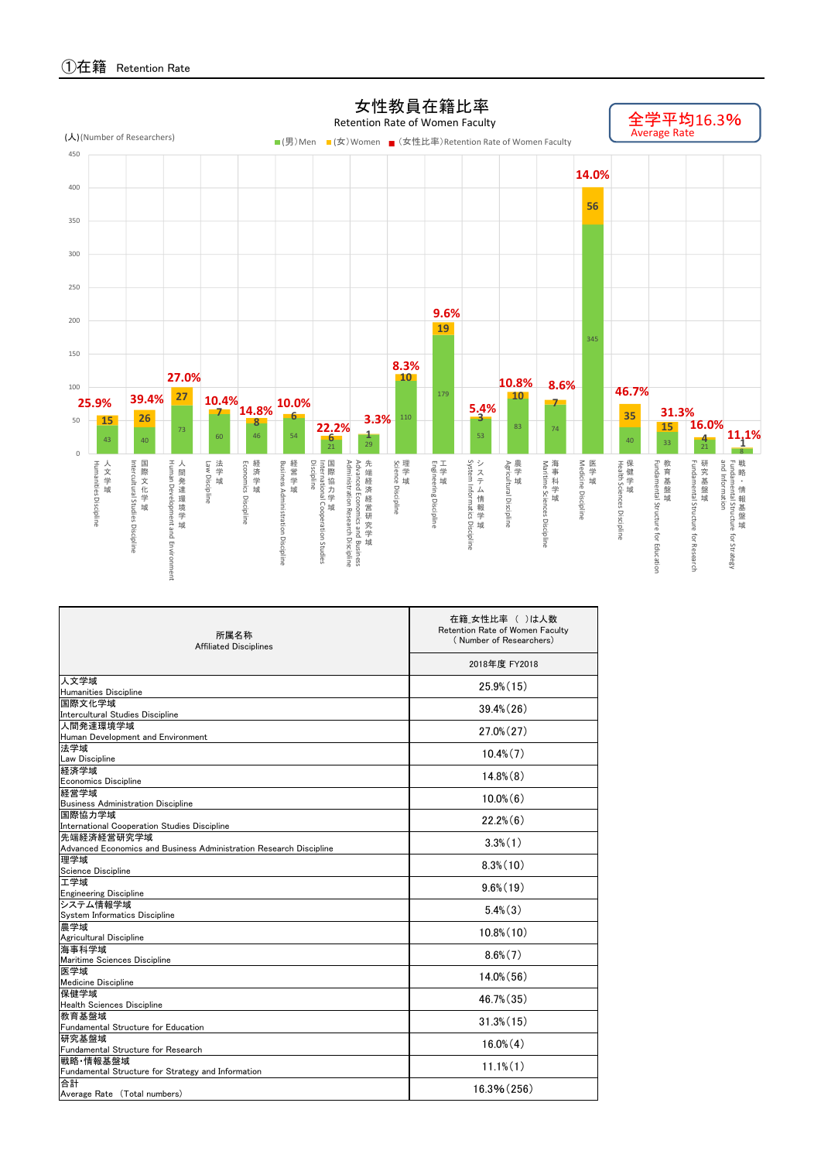

| 所属名称<br><b>Affiliated Disciplines</b>                                     | 在籍 女性比率 ( )は人数<br>Retention Rate of Women Faculty<br>(Number of Researchers) |  |  |  |  |  |  |
|---------------------------------------------------------------------------|------------------------------------------------------------------------------|--|--|--|--|--|--|
|                                                                           | 2018年度 FY2018                                                                |  |  |  |  |  |  |
| 人文学域<br><b>Humanities Discipline</b>                                      | 25.9%(15)                                                                    |  |  |  |  |  |  |
| 国際文化学域<br>Intercultural Studies Discipline                                | 39.4% (26)                                                                   |  |  |  |  |  |  |
| 人間発達環境学域<br>Human Development and Environment                             | $27.0\%$ $(27)$                                                              |  |  |  |  |  |  |
| 法学域                                                                       | $10.4\%$ $(7)$                                                               |  |  |  |  |  |  |
| Law Discipline<br>経済学域                                                    | $14.8\%$ $(8)$                                                               |  |  |  |  |  |  |
| <b>Economics Discipline</b><br>経営学域                                       | $10.0\%$ $(6)$                                                               |  |  |  |  |  |  |
| <b>Business Administration Discipline</b><br>国際協力学域                       | $22.2\%$ $(6)$                                                               |  |  |  |  |  |  |
| International Cooperation Studies Discipline<br>先端経済経営研究学域                | $3.3\%$ $(1)$                                                                |  |  |  |  |  |  |
| Advanced Economics and Business Administration Research Discipline<br>理学域 | $8.3\%$ $(10)$                                                               |  |  |  |  |  |  |
| Science Discipline<br>工学域                                                 |                                                                              |  |  |  |  |  |  |
| <b>Engineering Discipline</b><br>システム情報学域                                 | $9.6\%$ $(19)$                                                               |  |  |  |  |  |  |
| System Informatics Discipline<br>農学域                                      | $5.4\%$ $(3)$                                                                |  |  |  |  |  |  |
| Agricultural Discipline                                                   | $10.8\%$ $(10)$                                                              |  |  |  |  |  |  |
| 海事科学域<br>Maritime Sciences Discipline                                     | $8.6\%$ $(7)$                                                                |  |  |  |  |  |  |
| 医学域<br><b>Medicine Discipline</b>                                         | $14.0\%$ (56)                                                                |  |  |  |  |  |  |
| 保健学域<br><b>Health Sciences Discipline</b>                                 | 46.7% (35)                                                                   |  |  |  |  |  |  |
| 教育基盤域<br><b>Fundamental Structure for Education</b>                       | $31.3\%$ $(15)$                                                              |  |  |  |  |  |  |
| 研究基盤域<br>Fundamental Structure for Research                               | $16.0\%$ $(4)$                                                               |  |  |  |  |  |  |
| 戦略 情報基盤域<br>Fundamental Structure for Strategy and Information            | $11.1\%$ $(1)$                                                               |  |  |  |  |  |  |
| 合計<br>Average Rate (Total numbers)                                        | 16.3% (256)                                                                  |  |  |  |  |  |  |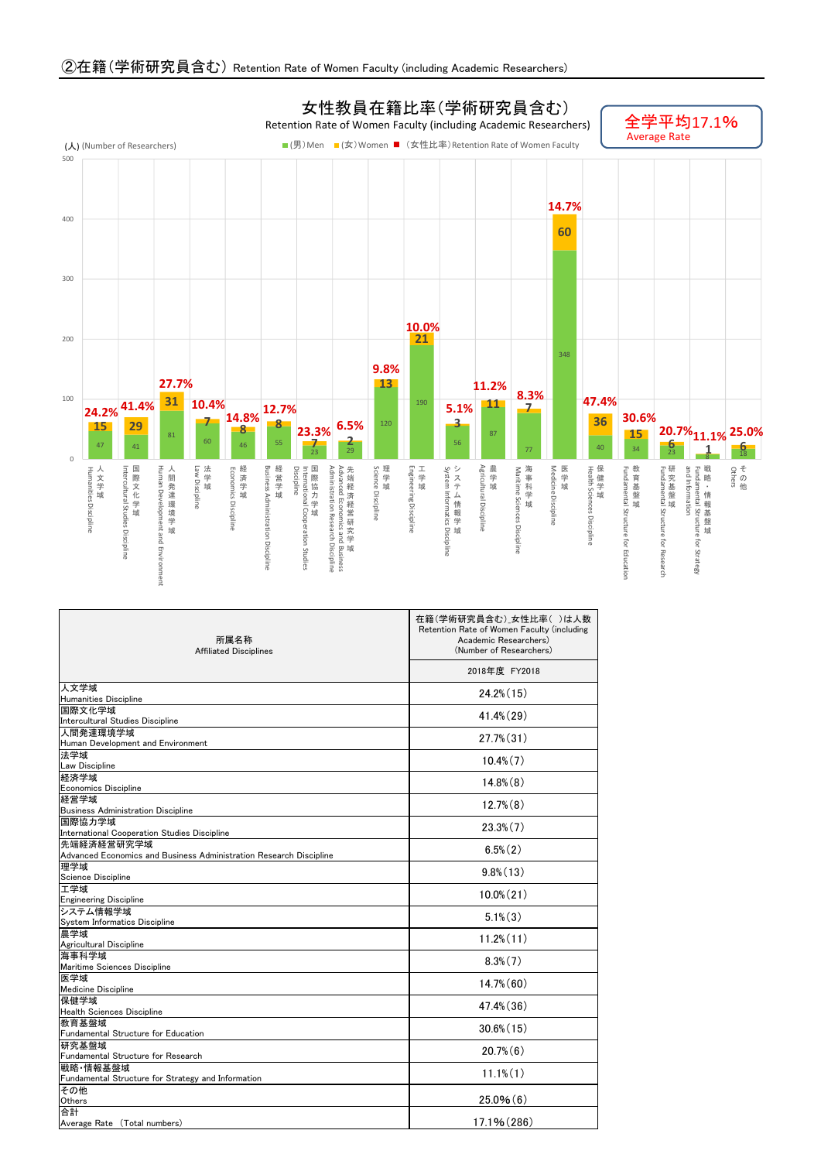

Discipline

Discipline

Discipline

Discipline

Structure

Structure for Research Structure

for Strategy

Education

Cooperation

Studies

Business

Research

Discipline

| 所属名称<br><b>Affiliated Disciplines</b>                              | 在籍(学術研究員含む)」女性比率()は人数<br>Retention Rate of Women Faculty (including<br>Academic Researchers)<br>(Number of Researchers) |
|--------------------------------------------------------------------|-------------------------------------------------------------------------------------------------------------------------|
|                                                                    | 2018年度 FY2018                                                                                                           |
| 人文学域<br>Humanities Discipline                                      | $24.2\%$ (15)                                                                                                           |
| 国際文化学域                                                             | $41.4\%$ (29)                                                                                                           |
| Intercultural Studies Discipline                                   |                                                                                                                         |
| 人間発達環境学域                                                           | $27.7\%$ $(31)$                                                                                                         |
| Human Development and Environment<br>法学域                           |                                                                                                                         |
| Law Discipline                                                     | $10.4\%$ $(7)$                                                                                                          |
| 経済学域                                                               | $14.8\%$ $(8)$                                                                                                          |
| <b>Economics Discipline</b>                                        |                                                                                                                         |
| 経営学域                                                               | $12.7\%$ $(8)$                                                                                                          |
| <b>Business Administration Discipline</b><br>国際協力学域                |                                                                                                                         |
| International Cooperation Studies Discipline                       | $23.3\%$ $(7)$                                                                                                          |
| 先端経済経営研究学域                                                         |                                                                                                                         |
| Advanced Economics and Business Administration Research Discipline | $6.5\%$ $(2)$                                                                                                           |
| 理学域                                                                | $9.8\%$ (13)                                                                                                            |
| Science Discipline                                                 |                                                                                                                         |
| 工学域                                                                | $10.0\%$ $(21)$                                                                                                         |
| <b>Engineering Discipline</b><br>システム情報学域                          |                                                                                                                         |
| System Informatics Discipline                                      | $5.1\%$ $(3)$                                                                                                           |
| 農学域                                                                |                                                                                                                         |
| Agricultural Discipline                                            | $11.2\%$ $(11)$                                                                                                         |
| 海事科学域                                                              | $8.3\%$ $(7)$                                                                                                           |
| Maritime Sciences Discipline                                       |                                                                                                                         |
| 医学域                                                                | $14.7\%$ (60)                                                                                                           |
| Medicine Discipline<br>保健学域                                        |                                                                                                                         |
| <b>Health Sciences Discipline</b>                                  | 47.4% (36)                                                                                                              |
| 教育基盤域                                                              |                                                                                                                         |
| Fundamental Structure for Education                                | $30.6\%$ (15)                                                                                                           |
| 研究基盤域                                                              | $20.7\%$ $(6)$                                                                                                          |
| Fundamental Structure for Research                                 |                                                                                                                         |
| 戦略 情報基盤域                                                           | $11.1\%$ (1)                                                                                                            |
| Fundamental Structure for Strategy and Information<br>その他          |                                                                                                                         |
| Others                                                             | 25.0%(6)                                                                                                                |
| 合計                                                                 |                                                                                                                         |
| Average Rate (Total numbers)                                       | 17.1% (286)                                                                                                             |

②在籍(学術研究員含む) Retention Rate of Women Faculty (including Academic Researchers)